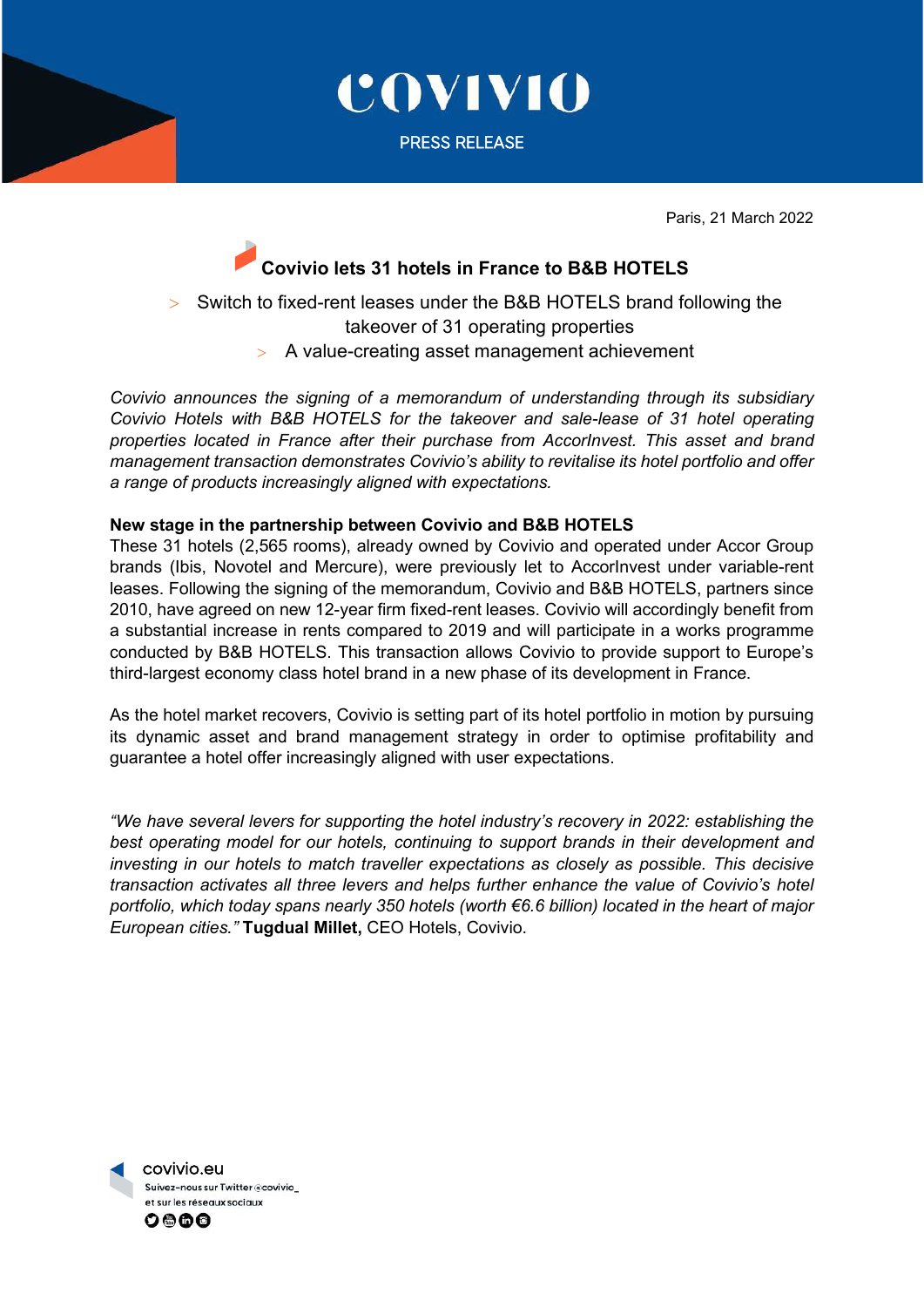

COVIVIO

PRESS RELEASE

Paris, 21 March 2022

## **Covivio lets 31 hotels in France to B&B HOTELS**

> Switch to fixed-rent leases under the B&B HOTELS brand following the takeover of 31 operating properties > A value-creating asset management achievement

*Covivio announces the signing of a memorandum of understanding through its subsidiary Covivio Hotels with B&B HOTELS for the takeover and sale-lease of 31 hotel operating properties located in France after their purchase from AccorInvest. This asset and brand management transaction demonstrates Covivio's ability to revitalise its hotel portfolio and offer a range of products increasingly aligned with expectations.* 

## **New stage in the partnership between Covivio and B&B HOTELS**

These 31 hotels (2,565 rooms), already owned by Covivio and operated under Accor Group brands (Ibis, Novotel and Mercure), were previously let to AccorInvest under variable-rent leases. Following the signing of the memorandum, Covivio and B&B HOTELS, partners since 2010, have agreed on new 12-year firm fixed-rent leases. Covivio will accordingly benefit from a substantial increase in rents compared to 2019 and will participate in a works programme conducted by B&B HOTELS. This transaction allows Covivio to provide support to Europe's third-largest economy class hotel brand in a new phase of its development in France.

As the hotel market recovers, Covivio is setting part of its hotel portfolio in motion by pursuing its dynamic asset and brand management strategy in order to optimise profitability and guarantee a hotel offer increasingly aligned with user expectations.

*"We have several levers for supporting the hotel industry's recovery in 2022: establishing the best operating model for our hotels, continuing to support brands in their development and investing in our hotels to match traveller expectations as closely as possible. This decisive transaction activates all three levers and helps further enhance the value of Covivio's hotel portfolio, which today spans nearly 350 hotels (worth €6.6 billion) located in the heart of major European cities."* **Tugdual Millet,** CEO Hotels, Covivio.

 covivio.eu Suivez-nous sur Twitter @covivio et sur les réseaux sociaux 0000